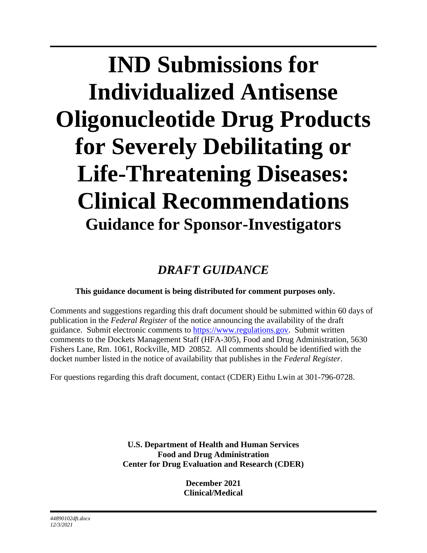# **IND Submissions for Individualized Antisense Oligonucleotide Drug Products for Severely Debilitating or Life-Threatening Diseases: Clinical Recommendations Guidance for Sponsor-Investigators**

# *DRAFT GUIDANCE*

# **This guidance document is being distributed for comment purposes only.**

Comments and suggestions regarding this draft document should be submitted within 60 days of publication in the *Federal Register* of the notice announcing the availability of the draft guidance. Submit electronic comments to [https://www.regulations.gov.](https://www.regulations.gov/) Submit written comments to the Dockets Management Staff (HFA-305), Food and Drug Administration, 5630 Fishers Lane, Rm. 1061, Rockville, MD 20852. All comments should be identified with the docket number listed in the notice of availability that publishes in the *Federal Register*.

For questions regarding this draft document, contact (CDER) Eithu Lwin at 301-796-0728.

**U.S. Department of Health and Human Services Food and Drug Administration Center for Drug Evaluation and Research (CDER)**

> **December 2021 Clinical/Medical**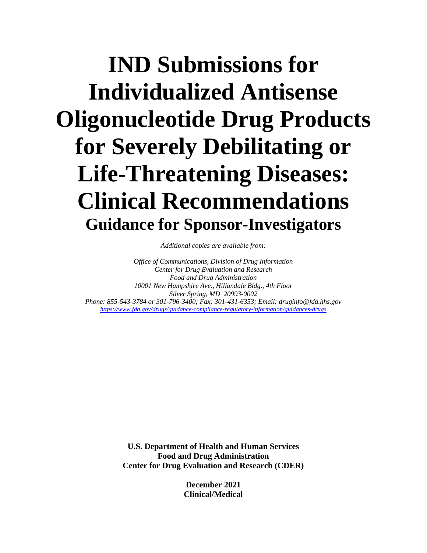# **IND Submissions for Individualized Antisense Oligonucleotide Drug Products for Severely Debilitating or Life-Threatening Diseases: Clinical Recommendations Guidance for Sponsor-Investigators**

*Additional copies are available from:*

*Office of Communications, Division of Drug Information Center for Drug Evaluation and Research Food and Drug Administration 10001 New Hampshire Ave., Hillandale Bldg., 4th Floor Silver Spring, MD 20993-0002 Phone: 855-543-3784 or 301-796-3400; Fax: 301-431-6353; Email: druginfo@fda.hhs.gov <https://www.fda.gov/drugs/guidance-compliance-regulatory-information/guidances-drugs>*

> **U.S. Department of Health and Human Services Food and Drug Administration Center for Drug Evaluation and Research (CDER)**

> > **December 2021 Clinical/Medical**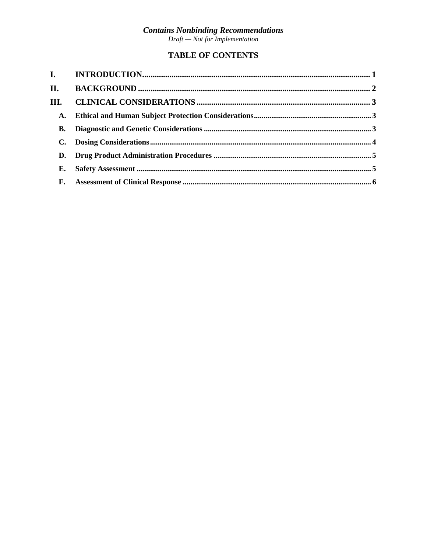# **Contains Nonbinding Recommendations**<br>Draft — Not for Implementation

## **TABLE OF CONTENTS**

| II.  |  |
|------|--|
| III. |  |
| A.   |  |
| В.   |  |
|      |  |
| D.   |  |
| Е.   |  |
|      |  |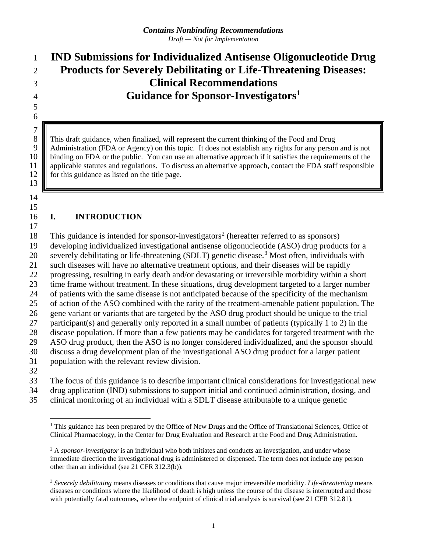# **IND Submissions for Individualized Antisense Oligonucleotide Drug Products for Severely Debilitating or Life-Threatening Diseases: Clinical Recommendations Guidance for Sponsor-Investigators[1](#page-3-0)**

 This draft guidance, when finalized, will represent the current thinking of the Food and Drug 9 Administration (FDA or Agency) on this topic. It does not establish any rights for any person and is not 10 binding on FDA or the public. You can use an alternative approach if it satisfies the requirements of the 10 binding on FDA or the public. You can use an alternative approach if it satisfies the requirements of the applicable statutes and regulations. To discuss an alternative approach, contact the FDA staff responsible 11 applicable statutes and regulations. To discuss an alternative approach, contact the FDA staff responsible 12 for this guidance as listed on the title page. for this guidance as listed on the title page.

 

 $\begin{array}{c} 7 \\ 8 \end{array}$ 

#### **I. INTRODUCTION**

18 This guidance is intended for sponsor-investigators<sup>[2](#page-3-1)</sup> (hereafter referred to as sponsors)

developing individualized investigational antisense oligonucleotide (ASO) drug products for a

20 severely debilitating or life-threatening (SDLT) genetic disease.<sup>[3](#page-3-2)</sup> Most often, individuals with

such diseases will have no alternative treatment options, and their diseases will be rapidly

progressing, resulting in early death and/or devastating or irreversible morbidity within a short

time frame without treatment. In these situations, drug development targeted to a larger number

of patients with the same disease is not anticipated because of the specificity of the mechanism

 of action of the ASO combined with the rarity of the treatment-amenable patient population. The gene variant or variants that are targeted by the ASO drug product should be unique to the trial

participant(s) and generally only reported in a small number of patients (typically 1 to 2) in the

disease population. If more than a few patients may be candidates for targeted treatment with the

ASO drug product, then the ASO is no longer considered individualized, and the sponsor should

 discuss a drug development plan of the investigational ASO drug product for a larger patient population with the relevant review division.

The focus of this guidance is to describe important clinical considerations for investigational new

drug application (IND) submissions to support initial and continued administration, dosing, and

<span id="page-3-0"></span>clinical monitoring of an individual with a SDLT disease attributable to a unique genetic

<sup>&</sup>lt;sup>1</sup> This guidance has been prepared by the Office of New Drugs and the Office of Translational Sciences, Office of Clinical Pharmacology, in the Center for Drug Evaluation and Research at the Food and Drug Administration.

<span id="page-3-1"></span><sup>&</sup>lt;sup>2</sup> A *sponsor-investigator* is an individual who both initiates and conducts an investigation, and under whose immediate direction the investigational drug is administered or dispensed. The term does not include any person other than an individual (see 21 CFR 312.3(b)).

<span id="page-3-2"></span> *Severely debilitating* means diseases or conditions that cause major irreversible morbidity. *Life-threatening* means diseases or conditions where the likelihood of death is high unless the course of the disease is interrupted and those with potentially fatal outcomes, where the endpoint of clinical trial analysis is survival (see 21 CFR 312.81).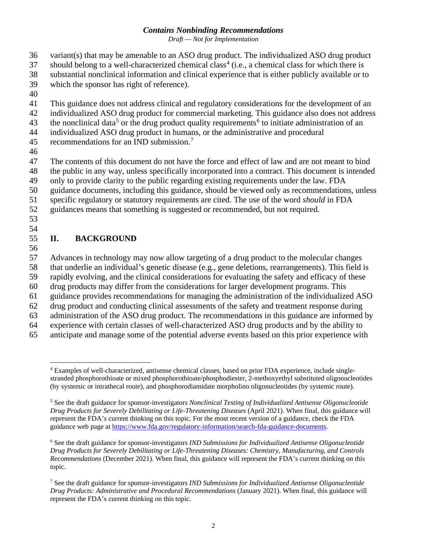*Draft — Not for Implementation*

- variant(s) that may be amenable to an ASO drug product. The individualized ASO drug product
- should belong to a well-characterized chemical class<sup>[4](#page-4-0)</sup> (i.e., a chemical class for which there is
- substantial nonclinical information and clinical experience that is either publicly available or to
- which the sponsor has right of reference).
- 
- This guidance does not address clinical and regulatory considerations for the development of an
- individualized ASO drug product for commercial marketing. This guidance also does not address
- <span id="page-4-4"></span>43 the nonclinical data<sup>[5](#page-4-1)</sup> or the drug product quality requirements<sup>[6](#page-4-2)</sup> to initiate administration of an
- individualized ASO drug product in humans, or the administrative and procedural
- 45 recommendations for an IND submission.<sup>[7](#page-4-3)</sup>
- 

The contents of this document do not have the force and effect of law and are not meant to bind

- the public in any way, unless specifically incorporated into a contract. This document is intended
- only to provide clarity to the public regarding existing requirements under the law. FDA
- guidance documents, including this guidance, should be viewed only as recommendations, unless
- specific regulatory or statutory requirements are cited. The use of the word *should* in FDA
- guidances means that something is suggested or recommended, but not required.
- 

# **II. BACKGROUND**

 Advances in technology may now allow targeting of a drug product to the molecular changes that underlie an individual's genetic disease (e.g., gene deletions, rearrangements). This field is rapidly evolving, and the clinical considerations for evaluating the safety and efficacy of these

- drug products may differ from the considerations for larger development programs. This
- guidance provides recommendations for managing the administration of the individualized ASO
- drug product and conducting clinical assessments of the safety and treatment response during
- administration of the ASO drug product. The recommendations in this guidance are informed by experience with certain classes of well-characterized ASO drug products and by the ability to
- anticipate and manage some of the potential adverse events based on this prior experience with

<span id="page-4-0"></span> Examples of well-characterized, antisense chemical classes, based on prior FDA experience, include singlestranded phosphorothioate or mixed phosphorothioate/phosphodiester, 2-methoxyethyl substituted oligonucleotides (by systemic or intrathecal route), and phosphorodiamidate morpholino oligonucleotides (by systemic route).

<span id="page-4-1"></span> See the draft guidance for sponsor-investigators *Nonclinical Testing of Individualized Antisense Oligonucleotide Drug Products for Severely Debilitating or Life-Threatening Diseases* (April 2021). When final, this guidance will represent the FDA's current thinking on this topic. For the most recent version of a guidance, check the FDA guidance web page at [https://www.fda.gov/regulatory-information/search-fda-guidance-documents.](https://www.fda.gov/regulatory-information/search-fda-guidance-documents)

<span id="page-4-2"></span> See the draft guidance for sponsor-investigators *IND Submissions for Individualized Antisense Oligonucleotide Drug Products for Severely Debilitating or Life-Threatening Diseases: Chemistry, Manufacturing, and Controls Recommendations* (December 2021). When final, this guidance will represent the FDA's current thinking on this topic.

<span id="page-4-3"></span> See the draft guidance for sponsor-investigators *IND Submissions for Individualized Antisense Oligonucleotide Drug Products: Administrative and Procedural Recommendations* (January 2021). When final, this guidance will represent the FDA's current thinking on this topic.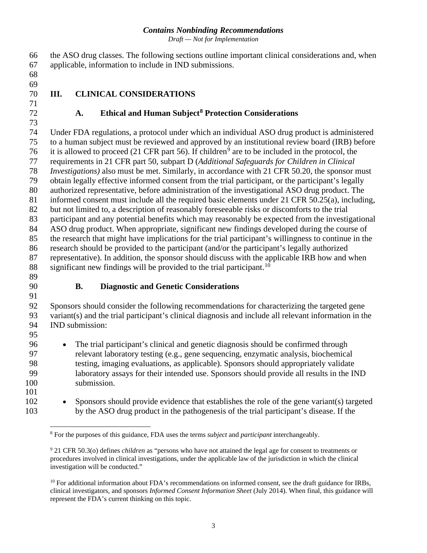*Draft — Not for Implementation*

 the ASO drug classes. The following sections outline important clinical considerations and, when applicable, information to include in IND submissions.

 

### **III. CLINICAL CONSIDERATIONS**

#### **A. Ethical and Human Subject[8](#page-5-0) Protection Considerations**

 Under FDA regulations, a protocol under which an individual ASO drug product is administered to a human subject must be reviewed and approved by an institutional review board (IRB) before 76 it is allowed to proceed (21 CFR part 56). If children<sup>[9](#page-5-1)</sup> are to be included in the protocol, the requirements in 21 CFR part 50, subpart D (*Additional Safeguards for Children in Clinical Investigations)* also must be met. Similarly, in accordance with 21 CFR 50.20, the sponsor must obtain legally effective informed consent from the trial participant, or the participant's legally authorized representative, before administration of the investigational ASO drug product. The informed consent must include all the required basic elements under 21 CFR 50.25(a), including, but not limited to, a description of reasonably foreseeable risks or discomforts to the trial participant and any potential benefits which may reasonably be expected from the investigational ASO drug product. When appropriate, significant new findings developed during the course of the research that might have implications for the trial participant's willingness to continue in the research should be provided to the participant (and/or the participant's legally authorized representative). In addition, the sponsor should discuss with the applicable IRB how and when 88 significant new findings will be provided to the trial participant.<sup>[10](#page-5-2)</sup>

 

#### **B. Diagnostic and Genetic Considerations**

 Sponsors should consider the following recommendations for characterizing the targeted gene variant(s) and the trial participant's clinical diagnosis and include all relevant information in the IND submission: 

 • The trial participant's clinical and genetic diagnosis should be confirmed through relevant laboratory testing (e.g., gene sequencing, enzymatic analysis, biochemical testing, imaging evaluations, as applicable). Sponsors should appropriately validate laboratory assays for their intended use. Sponsors should provide all results in the IND submission.

<span id="page-5-0"></span> • Sponsors should provide evidence that establishes the role of the gene variant(s) targeted by the ASO drug product in the pathogenesis of the trial participant's disease. If the

For the purposes of this guidance, FDA uses the terms *subject* and *participant* interchangeably.

<span id="page-5-1"></span> 21 CFR 50.3(o) defines *children* as "persons who have not attained the legal age for consent to treatments or procedures involved in clinical investigations, under the applicable law of the jurisdiction in which the clinical investigation will be conducted."

<span id="page-5-2"></span> For additional information about FDA's recommendations on informed consent, see the draft guidance for IRBs, clinical investigators, and sponsors *Informed Consent Information Sheet* (July 2014). When final, this guidance will represent the FDA's current thinking on this topic.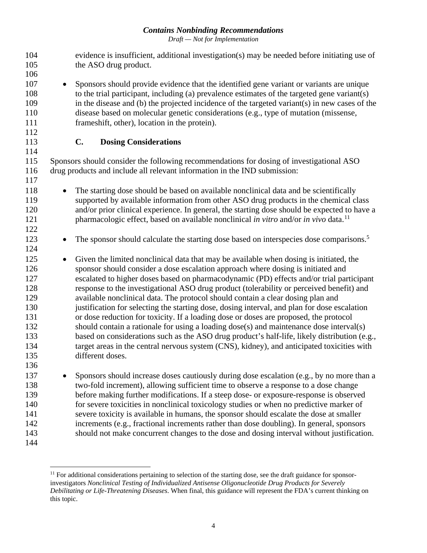*Draft — Not for Implementation*

| 104<br>105<br>106                                                                |                                                                           | evidence is insufficient, additional investigation(s) may be needed before initiating use of<br>the ASO drug product.                                                                                                                                                                                                                                                                                                                                                                                                                                                                                                                                                                                                                                                                                                                                                                                                                                       |  |  |  |  |
|----------------------------------------------------------------------------------|---------------------------------------------------------------------------|-------------------------------------------------------------------------------------------------------------------------------------------------------------------------------------------------------------------------------------------------------------------------------------------------------------------------------------------------------------------------------------------------------------------------------------------------------------------------------------------------------------------------------------------------------------------------------------------------------------------------------------------------------------------------------------------------------------------------------------------------------------------------------------------------------------------------------------------------------------------------------------------------------------------------------------------------------------|--|--|--|--|
| 107<br>108<br>109<br>110                                                         | $\bullet$                                                                 | Sponsors should provide evidence that the identified gene variant or variants are unique<br>to the trial participant, including (a) prevalence estimates of the targeted gene variant(s)<br>in the disease and (b) the projected incidence of the targeted variant(s) in new cases of the<br>disease based on molecular genetic considerations (e.g., type of mutation (missense,                                                                                                                                                                                                                                                                                                                                                                                                                                                                                                                                                                           |  |  |  |  |
| 111<br>112                                                                       |                                                                           | frameshift, other), location in the protein).                                                                                                                                                                                                                                                                                                                                                                                                                                                                                                                                                                                                                                                                                                                                                                                                                                                                                                               |  |  |  |  |
| 113                                                                              |                                                                           | C.<br><b>Dosing Considerations</b>                                                                                                                                                                                                                                                                                                                                                                                                                                                                                                                                                                                                                                                                                                                                                                                                                                                                                                                          |  |  |  |  |
| 114<br>115                                                                       |                                                                           | Sponsors should consider the following recommendations for dosing of investigational ASO                                                                                                                                                                                                                                                                                                                                                                                                                                                                                                                                                                                                                                                                                                                                                                                                                                                                    |  |  |  |  |
| 116<br>117                                                                       | drug products and include all relevant information in the IND submission: |                                                                                                                                                                                                                                                                                                                                                                                                                                                                                                                                                                                                                                                                                                                                                                                                                                                                                                                                                             |  |  |  |  |
| 118<br>119<br>120<br>121<br>122                                                  | $\bullet$                                                                 | The starting dose should be based on available nonclinical data and be scientifically<br>supported by available information from other ASO drug products in the chemical class<br>and/or prior clinical experience. In general, the starting dose should be expected to have a<br>pharmacologic effect, based on available nonclinical in vitro and/or in vivo data. <sup>11</sup>                                                                                                                                                                                                                                                                                                                                                                                                                                                                                                                                                                          |  |  |  |  |
| 123<br>124                                                                       | $\bullet$                                                                 | The sponsor should calculate the starting dose based on interspecies dose comparisons. <sup>5</sup>                                                                                                                                                                                                                                                                                                                                                                                                                                                                                                                                                                                                                                                                                                                                                                                                                                                         |  |  |  |  |
| 125<br>126<br>127<br>128<br>129<br>130<br>131<br>132<br>133<br>134<br>135<br>136 | $\bullet$                                                                 | Given the limited nonclinical data that may be available when dosing is initiated, the<br>sponsor should consider a dose escalation approach where dosing is initiated and<br>escalated to higher doses based on pharmacodynamic (PD) effects and/or trial participant<br>response to the investigational ASO drug product (tolerability or perceived benefit) and<br>available nonclinical data. The protocol should contain a clear dosing plan and<br>justification for selecting the starting dose, dosing interval, and plan for dose escalation<br>or dose reduction for toxicity. If a loading dose or doses are proposed, the protocol<br>should contain a rationale for using a loading dose(s) and maintenance dose interval(s)<br>based on considerations such as the ASO drug product's half-life, likely distribution (e.g.,<br>target areas in the central nervous system (CNS), kidney), and anticipated toxicities with<br>different doses. |  |  |  |  |
| 137<br>138<br>139<br>140<br>141<br>142<br>143<br>144                             |                                                                           | Sponsors should increase doses cautiously during dose escalation (e.g., by no more than a<br>two-fold increment), allowing sufficient time to observe a response to a dose change<br>before making further modifications. If a steep dose- or exposure-response is observed<br>for severe toxicities in nonclinical toxicology studies or when no predictive marker of<br>severe toxicity is available in humans, the sponsor should escalate the dose at smaller<br>increments (e.g., fractional increments rather than dose doubling). In general, sponsors<br>should not make concurrent changes to the dose and dosing interval without justification.                                                                                                                                                                                                                                                                                                  |  |  |  |  |

<span id="page-6-0"></span><sup>&</sup>lt;sup>11</sup> For additional considerations pertaining to selection of the starting dose, see the draft guidance for sponsorinvestigators *Nonclinical Testing of Individualized Antisense Oligonucleotide Drug Products for Severely Debilitating or Life-Threatening Diseases*. When final, this guidance will represent the FDA's current thinking on this topic.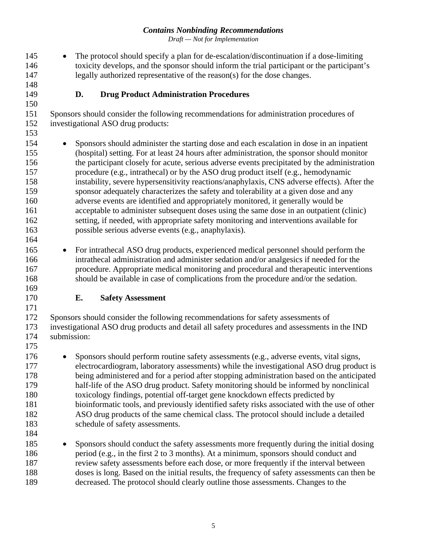*Draft — Not for Implementation*

 • The protocol should specify a plan for de-escalation/discontinuation if a dose-limiting toxicity develops, and the sponsor should inform the trial participant or the participant's legally authorized representative of the reason(s) for the dose changes.

### **D. Drug Product Administration Procedures**

 Sponsors should consider the following recommendations for administration procedures of investigational ASO drug products:

 • Sponsors should administer the starting dose and each escalation in dose in an inpatient (hospital) setting. For at least 24 hours after administration, the sponsor should monitor the participant closely for acute, serious adverse events precipitated by the administration procedure (e.g., intrathecal) or by the ASO drug product itself (e.g., hemodynamic instability, severe hypersensitivity reactions/anaphylaxis, CNS adverse effects). After the sponsor adequately characterizes the safety and tolerability at a given dose and any adverse events are identified and appropriately monitored, it generally would be acceptable to administer subsequent doses using the same dose in an outpatient (clinic) setting, if needed, with appropriate safety monitoring and interventions available for possible serious adverse events (e.g., anaphylaxis).

- For intrathecal ASO drug products, experienced medical personnel should perform the intrathecal administration and administer sedation and/or analgesics if needed for the procedure. Appropriate medical monitoring and procedural and therapeutic interventions should be available in case of complications from the procedure and/or the sedation.
- 

### **E. Safety Assessment**

 Sponsors should consider the following recommendations for safety assessments of investigational ASO drug products and detail all safety procedures and assessments in the IND submission:

 • Sponsors should perform routine safety assessments (e.g., adverse events, vital signs, electrocardiogram, laboratory assessments) while the investigational ASO drug product is being administered and for a period after stopping administration based on the anticipated half-life of the ASO drug product. Safety monitoring should be informed by nonclinical toxicology findings, potential off-target gene knockdown effects predicted by bioinformatic tools, and previously identified safety risks associated with the use of other ASO drug products of the same chemical class. The protocol should include a detailed 183 schedule of safety assessments. 

 • Sponsors should conduct the safety assessments more frequently during the initial dosing period (e.g., in the first 2 to 3 months). At a minimum, sponsors should conduct and review safety assessments before each dose, or more frequently if the interval between doses is long. Based on the initial results, the frequency of safety assessments can then be decreased. The protocol should clearly outline those assessments. Changes to the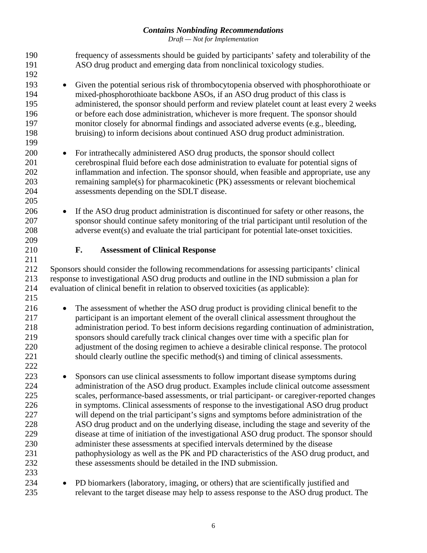*Draft — Not for Implementation*

| 190<br>191                                                                       |           | frequency of assessments should be guided by participants' safety and tolerability of the<br>ASO drug product and emerging data from nonclinical toxicology studies.                                                                                                                                                                                                                                                                                                                                                                                                                                                                                                                                                                                                                                                                                                                        |
|----------------------------------------------------------------------------------|-----------|---------------------------------------------------------------------------------------------------------------------------------------------------------------------------------------------------------------------------------------------------------------------------------------------------------------------------------------------------------------------------------------------------------------------------------------------------------------------------------------------------------------------------------------------------------------------------------------------------------------------------------------------------------------------------------------------------------------------------------------------------------------------------------------------------------------------------------------------------------------------------------------------|
| 192<br>193<br>194<br>195                                                         | $\bullet$ | Given the potential serious risk of thrombocytopenia observed with phosphorothioate or<br>mixed-phosphorothioate backbone ASOs, if an ASO drug product of this class is<br>administered, the sponsor should perform and review platelet count at least every 2 weeks                                                                                                                                                                                                                                                                                                                                                                                                                                                                                                                                                                                                                        |
| 196<br>197<br>198<br>199                                                         |           | or before each dose administration, whichever is more frequent. The sponsor should<br>monitor closely for abnormal findings and associated adverse events (e.g., bleeding,<br>bruising) to inform decisions about continued ASO drug product administration.                                                                                                                                                                                                                                                                                                                                                                                                                                                                                                                                                                                                                                |
| 200<br>201<br>202<br>203<br>204<br>205                                           | $\bullet$ | For intrathecally administered ASO drug products, the sponsor should collect<br>cerebrospinal fluid before each dose administration to evaluate for potential signs of<br>inflammation and infection. The sponsor should, when feasible and appropriate, use any<br>remaining sample(s) for pharmacokinetic (PK) assessments or relevant biochemical<br>assessments depending on the SDLT disease.                                                                                                                                                                                                                                                                                                                                                                                                                                                                                          |
| 206<br>207<br>208<br>209                                                         | $\bullet$ | If the ASO drug product administration is discontinued for safety or other reasons, the<br>sponsor should continue safety monitoring of the trial participant until resolution of the<br>adverse event(s) and evaluate the trial participant for potential late-onset toxicities.                                                                                                                                                                                                                                                                                                                                                                                                                                                                                                                                                                                                           |
| 210<br>211                                                                       | F.        | <b>Assessment of Clinical Response</b>                                                                                                                                                                                                                                                                                                                                                                                                                                                                                                                                                                                                                                                                                                                                                                                                                                                      |
| 212<br>213<br>214                                                                |           | Sponsors should consider the following recommendations for assessing participants' clinical<br>response to investigational ASO drug products and outline in the IND submission a plan for<br>evaluation of clinical benefit in relation to observed toxicities (as applicable):                                                                                                                                                                                                                                                                                                                                                                                                                                                                                                                                                                                                             |
| 215<br>216<br>217<br>218<br>219<br>220<br>221                                    | $\bullet$ | The assessment of whether the ASO drug product is providing clinical benefit to the<br>participant is an important element of the overall clinical assessment throughout the<br>administration period. To best inform decisions regarding continuation of administration,<br>sponsors should carefully track clinical changes over time with a specific plan for<br>adjustment of the dosing regimen to achieve a desirable clinical response. The protocol<br>should clearly outline the specific method(s) and timing of clinical assessments.                                                                                                                                                                                                                                                                                                                                            |
| 222<br>223<br>224<br>225<br>226<br>227<br>228<br>229<br>230<br>231<br>232<br>233 |           | Sponsors can use clinical assessments to follow important disease symptoms during<br>administration of the ASO drug product. Examples include clinical outcome assessment<br>scales, performance-based assessments, or trial participant- or caregiver-reported changes<br>in symptoms. Clinical assessments of response to the investigational ASO drug product<br>will depend on the trial participant's signs and symptoms before administration of the<br>ASO drug product and on the underlying disease, including the stage and severity of the<br>disease at time of initiation of the investigational ASO drug product. The sponsor should<br>administer these assessments at specified intervals determined by the disease<br>pathophysiology as well as the PK and PD characteristics of the ASO drug product, and<br>these assessments should be detailed in the IND submission. |
| 234<br>235                                                                       |           | PD biomarkers (laboratory, imaging, or others) that are scientifically justified and<br>relevant to the target disease may help to assess response to the ASO drug product. The                                                                                                                                                                                                                                                                                                                                                                                                                                                                                                                                                                                                                                                                                                             |